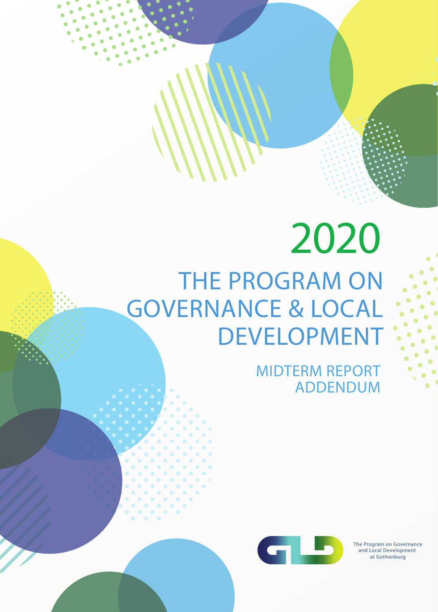# THE PROGRAM ON GOVERNANCE & LOCAL DEVELOPMENT **2020**

MIDTERM REPORT ADDENDUM



The Program on Governance and Local Development at Gothenburg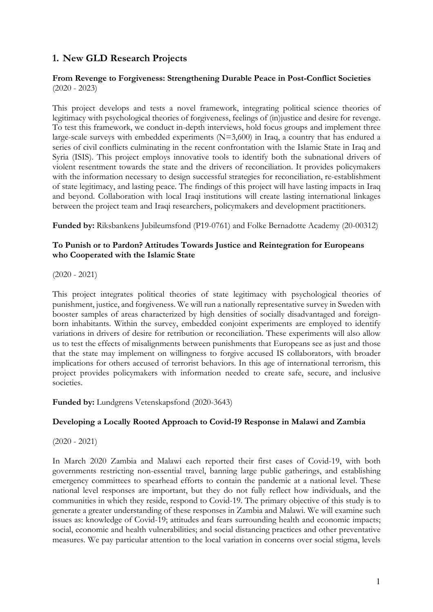#### **1. New GLD Research Projects**

#### **From Revenge to Forgiveness: Strengthening Durable Peace in Post-Conflict Societies** (2020 - 2023)

This project develops and tests a novel framework, integrating political science theories of legitimacy with psychological theories of forgiveness, feelings of (in)justice and desire for revenge. To test this framework, we conduct in-depth interviews, hold focus groups and implement three large-scale surveys with embedded experiments (N=3,600) in Iraq, a country that has endured a series of civil conflicts culminating in the recent confrontation with the Islamic State in Iraq and Syria (ISIS). This project employs innovative tools to identify both the subnational drivers of violent resentment towards the state and the drivers of reconciliation. It provides policymakers with the information necessary to design successful strategies for reconciliation, re-establishment of state legitimacy, and lasting peace. The findings of this project will have lasting impacts in Iraq and beyond. Collaboration with local Iraqi institutions will create lasting international linkages between the project team and Iraqi researchers, policymakers and development practitioners.

**Funded by:** Riksbankens Jubileumsfond (P19-0761) and Folke Bernadotte Academy (20-00312)

#### **To Punish or to Pardon? Attitudes Towards Justice and Reintegration for Europeans who Cooperated with the Islamic State**

(2020 - 2021)

This project integrates political theories of state legitimacy with psychological theories of punishment, justice, and forgiveness. We will run a nationally representative survey in Sweden with booster samples of areas characterized by high densities of socially disadvantaged and foreignborn inhabitants. Within the survey, embedded conjoint experiments are employed to identify variations in drivers of desire for retribution or reconciliation. These experiments will also allow us to test the effects of misalignments between punishments that Europeans see as just and those that the state may implement on willingness to forgive accused IS collaborators, with broader implications for others accused of terrorist behaviors. In this age of international terrorism, this project provides policymakers with information needed to create safe, secure, and inclusive societies.

**Funded by:** Lundgrens Vetenskapsfond (2020-3643)

#### **Developing a Locally Rooted Approach to Covid-19 Response in Malawi and Zambia**

(2020 - 2021)

In March 2020 Zambia and Malawi each reported their first cases of Covid-19, with both governments restricting non-essential travel, banning large public gatherings, and establishing emergency committees to spearhead efforts to contain the pandemic at a national level. These national level responses are important, but they do not fully reflect how individuals, and the communities in which they reside, respond to Covid-19. The primary objective of this study is to generate a greater understanding of these responses in Zambia and Malawi. We will examine such issues as: knowledge of Covid-19; attitudes and fears surrounding health and economic impacts; social, economic and health vulnerabilities; and social distancing practices and other preventative measures. We pay particular attention to the local variation in concerns over social stigma, levels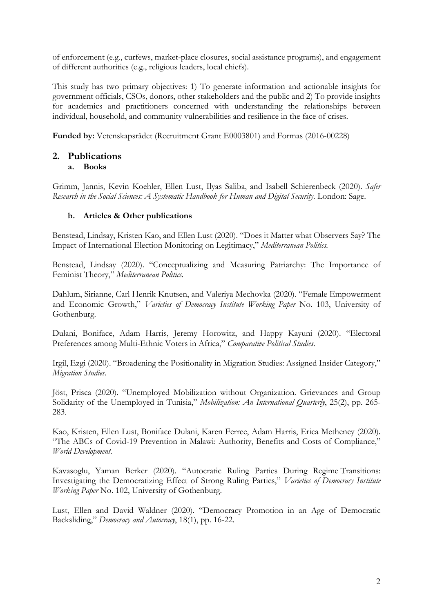of enforcement (e.g., curfews, market-place closures, social assistance programs), and engagement of different authorities (e.g., religious leaders, local chiefs).

This study has two primary objectives: 1) To generate information and actionable insights for government officials, CSOs, donors, other stakeholders and the public and 2) To provide insights for academics and practitioners concerned with understanding the relationships between individual, household, and community vulnerabilities and resilience in the face of crises.

**Funded by:** Vetenskapsrådet (Recruitment Grant E0003801) and Formas (2016-00228)

### **2. Publications**

#### **a. Books**

Grimm, Jannis, Kevin Koehler, Ellen Lust, Ilyas Saliba, and Isabell Schierenbeck (2020). *Safer Research in the Social Sciences: A Systematic Handbook for Human and Digital Security.* London: Sage.

#### **b. Articles & Other publications**

Benstead, Lindsay, Kristen Kao, and Ellen Lust (2020). "Does it Matter what Observers Say? The Impact of International Election Monitoring on Legitimacy," *Mediterranean Politics.*

Benstead, Lindsay (2020). "Conceptualizing and Measuring Patriarchy: The Importance of Feminist Theory," *Mediterranean Politics.* 

Dahlum, Sirianne, Carl Henrik Knutsen, and Valeriya Mechovka (2020). "Female Empowerment and Economic Growth," *Varieties of Democracy Institute Working Paper* No. 103, University of Gothenburg.

Dulani, Boniface, Adam Harris, Jeremy Horowitz, and Happy Kayuni (2020). "Electoral Preferences among Multi-Ethnic Voters in Africa," *Comparative Political Studies*.

Irgil, Ezgi (2020). "Broadening the Positionality in Migration Studies: Assigned Insider Category," *Migration Studies*.

Jöst, Prisca (2020). "Unemployed Mobilization without Organization. Grievances and Group Solidarity of the Unemployed in Tunisia," *Mobilization: An International Quarterly*, 25(2), pp. 265- 283.

Kao, Kristen, Ellen Lust, Boniface Dulani, Karen Ferree, Adam Harris, Erica Metheney (2020). "The ABCs of Covid-19 Prevention in Malawi: Authority, Benefits and Costs of Compliance," *World Development.*

Kavasoglu, Yaman Berker (2020). "Autocratic Ruling Parties During Regime Transitions: Investigating the Democratizing Effect of Strong Ruling Parties," *Varieties of Democracy Institute Working Paper* No. 102, University of Gothenburg.

Lust, Ellen and David Waldner (2020). "Democracy Promotion in an Age of Democratic Backsliding," *Democracy and Autocracy*, 18(1), pp. 16-22.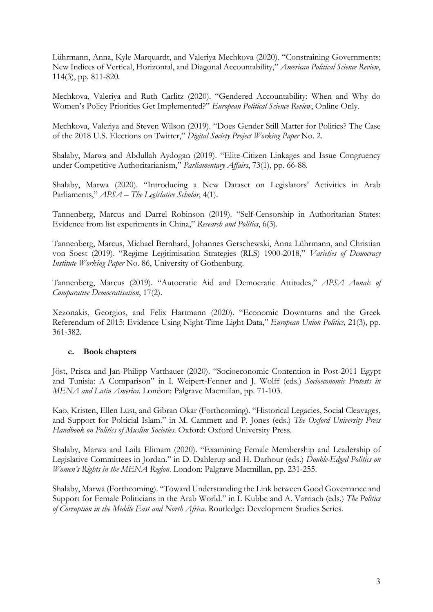Lührmann, Anna, Kyle Marquardt, and Valeriya Mechkova (2020). "Constraining Governments: New Indices of Vertical, Horizontal, and Diagonal Accountability," *American Political Science Review*, 114(3), pp. 811-820*.*

Mechkova, Valeriya and Ruth Carlitz (2020). "Gendered Accountability: When and Why do Women's Policy Priorities Get Implemented?" *European Political Science Review*, Online Only.

Mechkova, Valeriya and Steven Wilson (2019). "Does Gender Still Matter for Politics? The Case of the 2018 U.S. Elections on Twitter," *Digital Society Project Working Paper* No. 2.

Shalaby, Marwa and Abdullah Aydogan (2019). "Elite-Citizen Linkages and Issue Congruency under Competitive Authoritarianism," *Parliamentary Affairs*, 73(1), pp. 66-88.

Shalaby, Marwa (2020). "Introducing a New Dataset on Legislators' Activities in Arab Parliaments," *APSA – The Legislative Scholar*, 4(1).

Tannenberg, Marcus and Darrel Robinson (2019). "Self-Censorship in Authoritarian States: Evidence from list experiments in China," *Research and Politics*, 6(3).

Tannenberg, Marcus, Michael Bernhard, Johannes Gerschewski, Anna Lührmann, and Christian von Soest (2019). "Regime Legitimisation Strategies (RLS) 1900-2018," *Varieties of Democracy Institute Working Paper* No. 86, University of Gothenburg.

Tannenberg, Marcus (2019). "Autocratic Aid and Democratic Attitudes," *APSA Annals of Comparative Democratisation*, 17(2).

Xezonakis, Georgios, and Felix Hartmann (2020). "Economic Downturns and the Greek Referendum of 2015: Evidence Using Night-Time Light Data," *European Union Politics,* 21(3), pp. 361-382.

#### **c. Book chapters**

Jöst, Prisca and Jan-Philipp Vatthauer (2020). "Socioeconomic Contention in Post-2011 Egypt and Tunisia: A Comparison" in I. Weipert-Fenner and J. Wolff (eds.) *Socioeconomic Protests in MENA and Latin America*. London: Palgrave Macmillan, pp. 71-103.

Kao, Kristen, Ellen Lust, and Gibran Okar (Forthcoming). "Historical Legacies, Social Cleavages, and Support for Polticial Islam." in M. Cammett and P. Jones (eds.) *The Oxford University Press Handbook on Politics of Muslim Societies*. Oxford: Oxford University Press.

Shalaby, Marwa and Laila Elimam (2020). "Examining Female Membership and Leadership of Legislative Committees in Jordan." in D. Dahlerup and H. Darhour (eds.) *Double-Edged Politics on Women's Rights in the MENA Region*. London: Palgrave Macmillan, pp. 231-255.

Shalaby, Marwa (Forthcoming). "Toward Understanding the Link between Good Governance and Support for Female Politicians in the Arab World." in I. Kubbe and A. Varriach (eds.) *The Politics of Corruption in the Middle East and North Africa*. Routledge: Development Studies Series.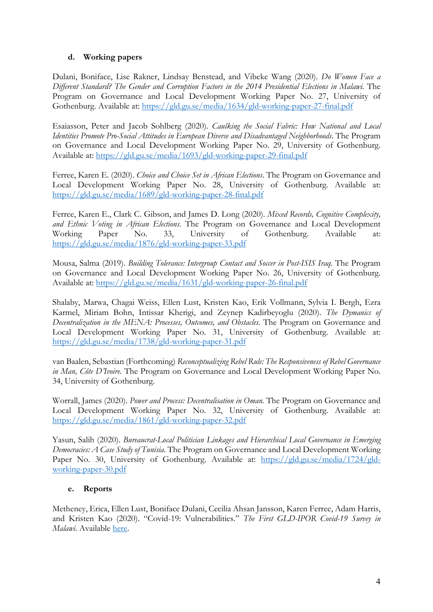#### **d. Working papers**

Dulani, Boniface, Lise Rakner, Lindsay Benstead, and Vibeke Wang (2020). *Do Women Face a Different Standard? The Gender and Corruption Factors in the 2014 Presidential Elections in Malawi.* The Program on Governance and Local Development Working Paper No. 27, University of Gothenburg. Available at: https://gld.gu.se/media/1634/gld-working-paper-27-final.pdf

Esaiasson, Peter and Jacob Sohlberg (2020). *Caulking the Social Fabric: How National and Local Identities Promote Pro-Social Attitudes in European Diverse and Disadvantaged Neighborhoods*. The Program on Governance and Local Development Working Paper No. 29, University of Gothenburg. Available at: https://gld.gu.se/media/1693/gld-working-paper-29-final.pdf

Ferree, Karen E. (2020). *Choice and Choice Set in African Elections*. The Program on Governance and Local Development Working Paper No. 28, University of Gothenburg. Available at: https://gld.gu.se/media/1689/gld-working-paper-28-final.pdf

Ferree, Karen E., Clark C. Gibson, and James D. Long (2020). *Mixed Records, Cognitive Complexity, and Ethnic Voting in African Elections*. The Program on Governance and Local Development Working Paper No. 33, University of Gothenburg. Available at: https://gld.gu.se/media/1876/gld-working-paper-33.pdf

Mousa, Salma (2019). *Building Tolerance: Intergroup Contact and Soccer in Post-ISIS Iraq.* The Program on Governance and Local Development Working Paper No. 26, University of Gothenburg. Available at: https://gld.gu.se/media/1631/gld-working-paper-26-final.pdf

Shalaby, Marwa, Chagai Weiss, Ellen Lust, Kristen Kao, Erik Vollmann, Sylvia I. Bergh, Ezra Karmel, Miriam Bohn, Intissar Kherigi, and Zeynep Kadirbeyoglu (2020). *The Dymanics of Decentralization in the MENA: Processes, Outcomes, and Obstacles.* The Program on Governance and Local Development Working Paper No. 31, University of Gothenburg. Available at: https://gld.gu.se/media/1738/gld-working-paper-31.pdf

van Baalen, Sebastian (Forthcoming) *Reconceptualizing Rebel Rule: The Responsiveness of Rebel Governance in Man, Côte D'Ivoire.* The Program on Governance and Local Development Working Paper No. 34, University of Gothenburg.

Worrall, James (2020). *Power and Process: Decentralisation in Oman.* The Program on Governance and Local Development Working Paper No. 32, University of Gothenburg. Available at: https://gld.gu.se/media/1861/gld-working-paper-32.pdf

Yasun, Salih (2020). *Bureaucrat-Local Politician Linkages and Hierarchical Local Governance in Emerging Democracies: A Case Study of Tunisia.* The Program on Governance and Local Development Working Paper No. 30, University of Gothenburg. Available at: https://gld.gu.se/media/1724/gldworking-paper-30.pdf

#### **e. Reports**

Metheney, Erica, Ellen Lust, Boniface Dulani, Cecilia Ahsan Jansson, Karen Ferree, Adam Harris, and Kristen Kao (2020). "Covid-19: Vulnerabilities." *The First GLD-IPOR Covid-19 Survey in Malawi*. Available here.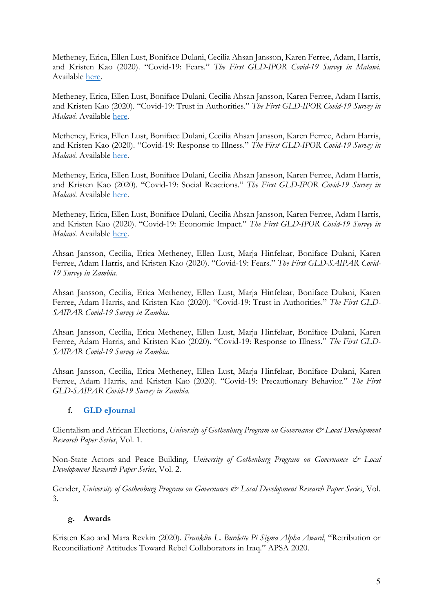Metheney, Erica, Ellen Lust, Boniface Dulani, Cecilia Ahsan Jansson, Karen Ferree, Adam, Harris, and Kristen Kao (2020). "Covid-19: Fears." *The First GLD-IPOR Covid-19 Survey in Malawi*. Available here.

Metheney, Erica, Ellen Lust, Boniface Dulani, Cecilia Ahsan Jansson, Karen Ferree, Adam Harris, and Kristen Kao (2020). "Covid-19: Trust in Authorities." *The First GLD-IPOR Covid-19 Survey in Malawi*. Available here.

Metheney, Erica, Ellen Lust, Boniface Dulani, Cecilia Ahsan Jansson, Karen Ferree, Adam Harris, and Kristen Kao (2020). "Covid-19: Response to Illness." *The First GLD-IPOR Covid-19 Survey in Malawi*. Available here.

Metheney, Erica, Ellen Lust, Boniface Dulani, Cecilia Ahsan Jansson, Karen Ferree, Adam Harris, and Kristen Kao (2020). "Covid-19: Social Reactions." *The First GLD-IPOR Covid-19 Survey in Malawi*. Available here.

Metheney, Erica, Ellen Lust, Boniface Dulani, Cecilia Ahsan Jansson, Karen Ferree, Adam Harris, and Kristen Kao (2020). "Covid-19: Economic Impact." *The First GLD-IPOR Covid-19 Survey in Malawi*. Available here.

Ahsan Jansson, Cecilia, Erica Metheney, Ellen Lust, Marja Hinfelaar, Boniface Dulani, Karen Ferree, Adam Harris, and Kristen Kao (2020). "Covid-19: Fears." *The First GLD-SAIPAR Covid-19 Survey in Zambia.* 

Ahsan Jansson, Cecilia, Erica Metheney, Ellen Lust, Marja Hinfelaar, Boniface Dulani, Karen Ferree, Adam Harris, and Kristen Kao (2020). "Covid-19: Trust in Authorities." *The First GLD-SAIPAR Covid-19 Survey in Zambia.* 

Ahsan Jansson, Cecilia, Erica Metheney, Ellen Lust, Marja Hinfelaar, Boniface Dulani, Karen Ferree, Adam Harris, and Kristen Kao (2020). "Covid-19: Response to Illness." *The First GLD-SAIPAR Covid-19 Survey in Zambia.* 

Ahsan Jansson, Cecilia, Erica Metheney, Ellen Lust, Marja Hinfelaar, Boniface Dulani, Karen Ferree, Adam Harris, and Kristen Kao (2020). "Covid-19: Precautionary Behavior." *The First GLD-SAIPAR Covid-19 Survey in Zambia.* 

#### **f. GLD eJournal**

Clientalism and African Elections, *University of Gothenburg Program on Governance & Local Development Research Paper Series*, Vol. 1.

Non-State Actors and Peace Building, *University of Gothenburg Program on Governance & Local Development Research Paper Series*, Vol. 2.

Gender, University of Gothenburg Program on Governance & Local Development Research Paper Series, Vol. 3.

#### **g. Awards**

Kristen Kao and Mara Revkin (2020). *Franklin L. Burdette Pi Sigma Alpha Award*, "Retribution or Reconciliation? Attitudes Toward Rebel Collaborators in Iraq." APSA 2020.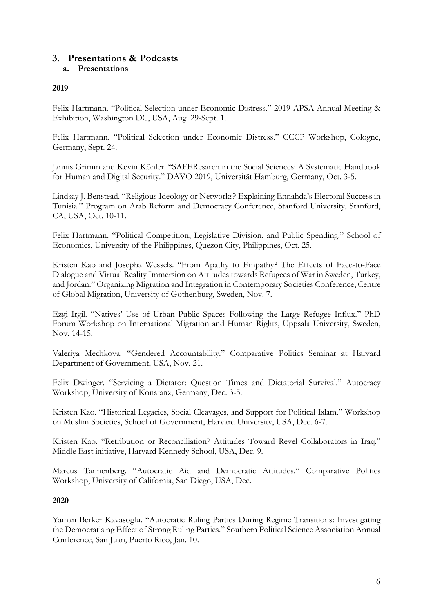# **3. Presentations & Podcasts**

#### **a. Presentations**

#### **2019**

Felix Hartmann. "Political Selection under Economic Distress." 2019 APSA Annual Meeting & Exhibition, Washington DC, USA, Aug. 29-Sept. 1.

Felix Hartmann. "Political Selection under Economic Distress." CCCP Workshop, Cologne, Germany, Sept. 24.

Jannis Grimm and Kevin Köhler. "SAFEResarch in the Social Sciences: A Systematic Handbook for Human and Digital Security." DAVO 2019, Universität Hamburg, Germany, Oct. 3-5.

Lindsay J. Benstead. "Religious Ideology or Networks? Explaining Ennahda's Electoral Success in Tunisia." Program on Arab Reform and Democracy Conference, Stanford University, Stanford, CA, USA, Oct. 10-11.

Felix Hartmann. "Political Competition, Legislative Division, and Public Spending." School of Economics, University of the Philippines, Quezon City, Philippines, Oct. 25.

Kristen Kao and Josepha Wessels. "From Apathy to Empathy? The Effects of Face-to-Face Dialogue and Virtual Reality Immersion on Attitudes towards Refugees of War in Sweden, Turkey, and Jordan." Organizing Migration and Integration in Contemporary Societies Conference, Centre of Global Migration, University of Gothenburg, Sweden, Nov. 7.

Ezgi Irgil. "Natives' Use of Urban Public Spaces Following the Large Refugee Influx." PhD Forum Workshop on International Migration and Human Rights, Uppsala University, Sweden, Nov. 14-15.

Valeriya Mechkova. "Gendered Accountability." Comparative Politics Seminar at Harvard Department of Government, USA, Nov. 21.

Felix Dwinger. "Servicing a Dictator: Question Times and Dictatorial Survival." Autocracy Workshop, University of Konstanz, Germany, Dec. 3-5.

Kristen Kao. "Historical Legacies, Social Cleavages, and Support for Political Islam." Workshop on Muslim Societies, School of Government, Harvard University, USA, Dec. 6-7.

Kristen Kao. "Retribution or Reconciliation? Attitudes Toward Revel Collaborators in Iraq." Middle East initiative, Harvard Kennedy School, USA, Dec. 9.

Marcus Tannenberg. "Autocratic Aid and Democratic Attitudes." Comparative Politics Workshop, University of California, San Diego, USA, Dec.

#### **2020**

Yaman Berker Kavasoglu. "Autocratic Ruling Parties During Regime Transitions: Investigating the Democratising Effect of Strong Ruling Parties." Southern Political Science Association Annual Conference, San Juan, Puerto Rico, Jan. 10.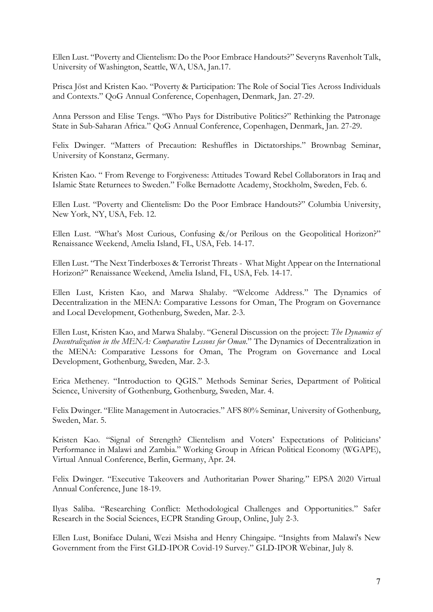Ellen Lust. "Poverty and Clientelism: Do the Poor Embrace Handouts?" Severyns Ravenholt Talk, University of Washington, Seattle, WA, USA, Jan.17.

Prisca Jöst and Kristen Kao. "Poverty & Participation: The Role of Social Ties Across Individuals and Contexts." QoG Annual Conference, Copenhagen, Denmark, Jan. 27-29.

Anna Persson and Elise Tengs. "Who Pays for Distributive Politics?" Rethinking the Patronage State in Sub-Saharan Africa." QoG Annual Conference, Copenhagen, Denmark, Jan. 27-29.

Felix Dwinger. "Matters of Precaution: Reshuffles in Dictatorships." Brownbag Seminar, University of Konstanz, Germany.

Kristen Kao. " From Revenge to Forgiveness: Attitudes Toward Rebel Collaborators in Iraq and Islamic State Returnees to Sweden." Folke Bernadotte Academy, Stockholm, Sweden, Feb. 6.

Ellen Lust. "Poverty and Clientelism: Do the Poor Embrace Handouts?" Columbia University, New York, NY, USA, Feb. 12.

Ellen Lust. "What's Most Curious, Confusing &/or Perilous on the Geopolitical Horizon?" Renaissance Weekend, Amelia Island, FL, USA, Feb. 14-17.

Ellen Lust. "The Next Tinderboxes & Terrorist Threats - What Might Appear on the International Horizon?" Renaissance Weekend, Amelia Island, FL, USA, Feb. 14-17.

Ellen Lust, Kristen Kao, and Marwa Shalaby. "Welcome Address." The Dynamics of Decentralization in the MENA: Comparative Lessons for Oman, The Program on Governance and Local Development, Gothenburg, Sweden, Mar. 2-3.

Ellen Lust, Kristen Kao, and Marwa Shalaby. "General Discussion on the project: *The Dynamics of Decentralization in the MENA: Comparative Lessons for Oman*." The Dynamics of Decentralization in the MENA: Comparative Lessons for Oman, The Program on Governance and Local Development, Gothenburg, Sweden, Mar. 2-3.

Erica Metheney. "Introduction to QGIS." Methods Seminar Series, Department of Political Science, University of Gothenburg, Gothenburg, Sweden, Mar. 4.

Felix Dwinger. "Elite Management in Autocracies." AFS 80% Seminar, University of Gothenburg, Sweden, Mar. 5.

Kristen Kao. "Signal of Strength? Clientelism and Voters' Expectations of Politicians' Performance in Malawi and Zambia." Working Group in African Political Economy (WGAPE), Virtual Annual Conference, Berlin, Germany, Apr. 24.

Felix Dwinger. "Executive Takeovers and Authoritarian Power Sharing." EPSA 2020 Virtual Annual Conference, June 18-19.

Ilyas Saliba. "Researching Conflict: Methodological Challenges and Opportunities." Safer Research in the Social Sciences, ECPR Standing Group, Online, July 2-3.

Ellen Lust, Boniface Dulani, Wezi Msisha and Henry Chingaipe. "Insights from Malawi's New Government from the First GLD-IPOR Covid-19 Survey." GLD-IPOR Webinar, July 8.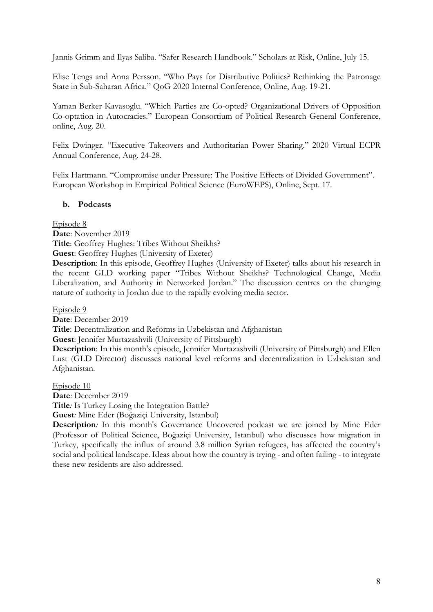Jannis Grimm and Ilyas Saliba. "Safer Research Handbook." Scholars at Risk, Online, July 15.

Elise Tengs and Anna Persson. "Who Pays for Distributive Politics? Rethinking the Patronage State in Sub-Saharan Africa." QoG 2020 Internal Conference, Online, Aug. 19-21.

Yaman Berker Kavasoglu. "Which Parties are Co-opted? Organizational Drivers of Opposition Co-optation in Autocracies." European Consortium of Political Research General Conference, online, Aug. 20.

Felix Dwinger. "Executive Takeovers and Authoritarian Power Sharing." 2020 Virtual ECPR Annual Conference, Aug. 24-28.

Felix Hartmann. "Compromise under Pressure: The Positive Effects of Divided Government". European Workshop in Empirical Political Science (EuroWEPS), Online, Sept. 17.

#### **b. Podcasts**

Episode 8

**Date**: November 2019

**Title**: Geoffrey Hughes: Tribes Without Sheikhs?

**Guest**: Geoffrey Hughes (University of Exeter)

**Description**: In this episode, Geoffrey Hughes (University of Exeter) talks about his research in the recent GLD working paper "Tribes Without Sheikhs? Technological Change, Media Liberalization, and Authority in Networked Jordan." The discussion centres on the changing nature of authority in Jordan due to the rapidly evolving media sector.

Episode 9

**Date**: December 2019

**Title**: Decentralization and Reforms in Uzbekistan and Afghanistan

**Guest**: Jennifer Murtazashvili (University of Pittsburgh)

**Description**: In this month's episode, Jennifer Murtazashvili (University of Pittsburgh) and Ellen Lust (GLD Director) discusses national level reforms and decentralization in Uzbekistan and Afghanistan.

Episode 10

**Date***:* December 2019

**Title***:* Is Turkey Losing the Integration Battle?

**Guest***:* Mine Eder (Boğaziçi University, Istanbul)

**Description***:* In this month's Governance Uncovered podcast we are joined by Mine Eder (Professor of Political Science, Boğaziçi University, Istanbul) who discusses how migration in Turkey, specifically the influx of around 3.8 million Syrian refugees, has affected the country's social and political landscape. Ideas about how the country is trying - and often failing - to integrate these new residents are also addressed.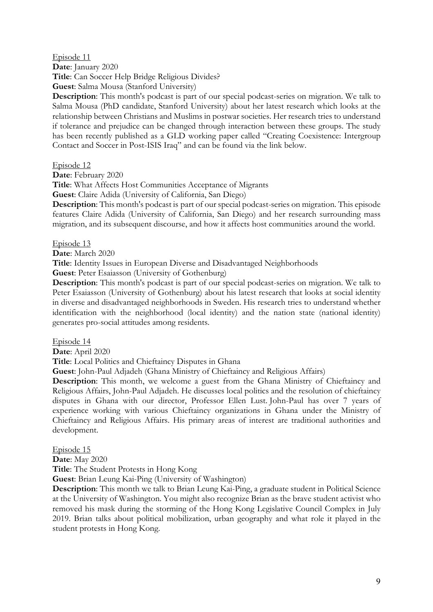Episode 11 **Date**: January 2020 **Title**: Can Soccer Help Bridge Religious Divides? **Guest**: Salma Mousa (Stanford University)

**Description**: This month's podcast is part of our special podcast-series on migration. We talk to Salma Mousa (PhD candidate, Stanford University) about her latest research which looks at the relationship between Christians and Muslims in postwar societies. Her research tries to understand if tolerance and prejudice can be changed through interaction between these groups. The study has been recently published as a GLD working paper called "Creating Coexistence: Intergroup Contact and Soccer in Post-ISIS Iraq" and can be found via the link below.

Episode 12

**Date**: February 2020

**Title**: What Affects Host Communities Acceptance of Migrants

**Guest**: Claire Adida (University of California, San Diego)

**Description**: This month's podcast is part of our special podcast-series on migration. This episode features Claire Adida (University of California, San Diego) and her research surrounding mass migration, and its subsequent discourse, and how it affects host communities around the world.

#### Episode 13

**Date**: March 2020

**Title**: Identity Issues in European Diverse and Disadvantaged Neighborhoods

**Guest**: Peter Esaiasson (University of Gothenburg)

**Description**: This month's podcast is part of our special podcast-series on migration. We talk to Peter Esaiasson (University of Gothenburg) about his latest research that looks at social identity in diverse and disadvantaged neighborhoods in Sweden. His research tries to understand whether identification with the neighborhood (local identity) and the nation state (national identity) generates pro-social attitudes among residents.

Episode 14

**Date**: April 2020

**Title**: Local Politics and Chieftaincy Disputes in Ghana

**Guest**: John-Paul Adjadeh (Ghana Ministry of Chieftaincy and Religious Affairs)

**Description**: This month, we welcome a guest from the Ghana Ministry of Chieftaincy and Religious Affairs, John-Paul Adjadeh. He discusses local politics and the resolution of chieftaincy disputes in Ghana with our director, Professor Ellen Lust. John-Paul has over 7 years of experience working with various Chieftaincy organizations in Ghana under the Ministry of Chieftaincy and Religious Affairs. His primary areas of interest are traditional authorities and development.

Episode 15

**Date**: May 2020

**Title**: The Student Protests in Hong Kong

**Guest**: Brian Leung Kai-Ping (University of Washington)

**Description**: This month we talk to Brian Leung Kai-Ping, a graduate student in Political Science at the University of Washington. You might also recognize Brian as the brave student activist who removed his mask during the storming of the Hong Kong Legislative Council Complex in July 2019. Brian talks about political mobilization, urban geography and what role it played in the student protests in Hong Kong.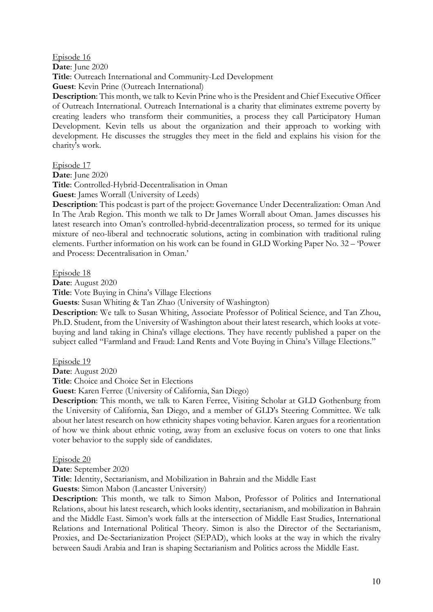Episode 16

**Date**: June 2020

**Title**: Outreach International and Community-Led Development

**Guest**: Kevin Prine (Outreach International)

**Description**: This month, we talk to Kevin Prine who is the President and Chief Executive Officer of Outreach International. Outreach International is a charity that eliminates extreme poverty by creating leaders who transform their communities, a process they call Participatory Human Development. Kevin tells us about the organization and their approach to working with development. He discusses the struggles they meet in the field and explains his vision for the charity's work.

Episode 17

**Date**: June 2020

**Title**: Controlled-Hybrid-Decentralisation in Oman

**Guest**: James Worrall (University of Leeds)

**Description**: This podcast is part of the project: Governance Under Decentralization: Oman And In The Arab Region. This month we talk to Dr James Worrall about Oman. James discusses his latest research into Oman's controlled-hybrid-decentralization process, so termed for its unique mixture of neo-liberal and technocratic solutions, acting in combination with traditional ruling elements. Further information on his work can be found in GLD Working Paper No. 32 – 'Power and Process: Decentralisation in Oman.'

Episode 18

**Date**: August 2020

**Title**: Vote Buying in China's Village Elections

**Guests**: Susan Whiting & Tan Zhao (University of Washington)

**Description**: We talk to Susan Whiting, Associate Professor of Political Science, and Tan Zhou, Ph.D. Student, from the University of Washington about their latest research, which looks at votebuying and land taking in China's village elections. They have recently published a paper on the subject called "Farmland and Fraud: Land Rents and Vote Buying in China's Village Elections."

Episode 19

**Date**: August 2020

**Title**: Choice and Choice Set in Elections

**Guest**: Karen Ferree (University of California, San Diego)

**Description**: This month, we talk to Karen Ferree, Visiting Scholar at GLD Gothenburg from the University of California, San Diego, and a member of GLD's Steering Committee. We talk about her latest research on how ethnicity shapes voting behavior. Karen argues for a reorientation of how we think about ethnic voting, away from an exclusive focus on voters to one that links voter behavior to the supply side of candidates.

Episode 20

**Date**: September 2020

**Title**: Identity, Sectarianism, and Mobilization in Bahrain and the Middle East

**Guests**: Simon Mabon (Lancaster University)

**Description**: This month, we talk to Simon Mabon, Professor of Politics and International Relations, about his latest research, which looks identity, sectarianism, and mobilization in Bahrain and the Middle East. Simon's work falls at the intersection of Middle East Studies, International Relations and International Political Theory. Simon is also the Director of the Sectarianism, Proxies, and De-Sectarianization Project (SEPAD), which looks at the way in which the rivalry between Saudi Arabia and Iran is shaping Sectarianism and Politics across the Middle East.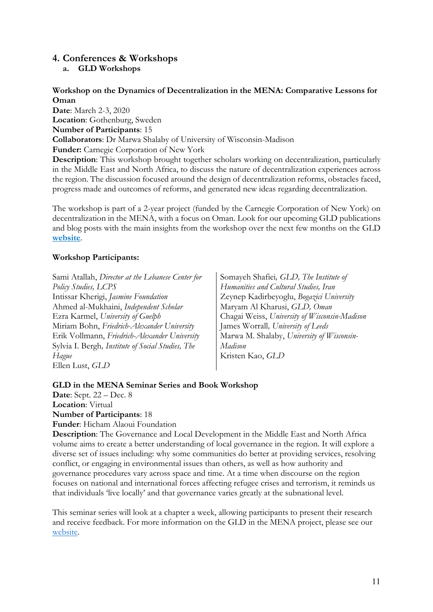#### **4. Conferences & Workshops**

**a. GLD Workshops**

#### **Workshop on the Dynamics of Decentralization in the MENA: Comparative Lessons for Oman**

**Date**: March 2-3, 2020 **Location**: Gothenburg, Sweden **Number of Participants**: 15 **Collaborators**: Dr Marwa Shalaby of University of Wisconsin-Madison **Funder:** Carnegie Corporation of New York

**Description**: This workshop brought together scholars working on decentralization, particularly in the Middle East and North Africa, to discuss the nature of decentralization experiences across the region. The discussion focused around the design of decentralization reforms, obstacles faced, progress made and outcomes of reforms, and generated new ideas regarding decentralization.

The workshop is part of a 2-year project (funded by the Carnegie Corporation of New York) on decentralization in the MENA, with a focus on Oman. Look for our upcoming GLD publications and blog posts with the main insights from the workshop over the next few months on the GLD **website**.

#### **Workshop Participants:**

Sami Atallah, *Director at the Lebanese Center for Policy Studies, LCPS* Intissar Kherigi, *Jasmine Foundation* Ahmed al-Mukhaini, *Independent Scholar* Ezra Karmel, *University of Guelph* Miriam Bohn, *Friedrich-Alexander University* Erik Vollmann, *Friedrich-Alexander University* Sylvia I. Bergh*, Institute of Social Studies, The Hague* Ellen Lust, *GLD*

Somayeh Shafiei*, GLD, The Institute of Humanities and Cultural Studies, Iran* Zeynep Kadirbeyoglu, *Bogazici University* Maryam Al Kharusi, *GLD, Oman* Chagai Weiss, *University of Wisconsin-Madison* James Worrall*, University of Leeds* Marwa M. Shalaby, *University of Wisconsin-Madison* Kristen Kao, *GLD*

#### **GLD in the MENA Seminar Series and Book Workshop**

**Date**: Sept. 22 – Dec. 8 **Location**: Virtual **Number of Participants**: 18

**Funder**: Hicham Alaoui Foundation

**Description**: The Governance and Local Development in the Middle East and North Africa volume aims to create a better understanding of local governance in the region. It will explore a diverse set of issues including: why some communities do better at providing services, resolving conflict, or engaging in environmental issues than others, as well as how authority and governance procedures vary across space and time. At a time when discourse on the region focuses on national and international forces affecting refugee crises and terrorism, it reminds us that individuals 'live locally' and that governance varies greatly at the subnational level.

This seminar series will look at a chapter a week, allowing participants to present their research and receive feedback. For more information on the GLD in the MENA project, please see our website.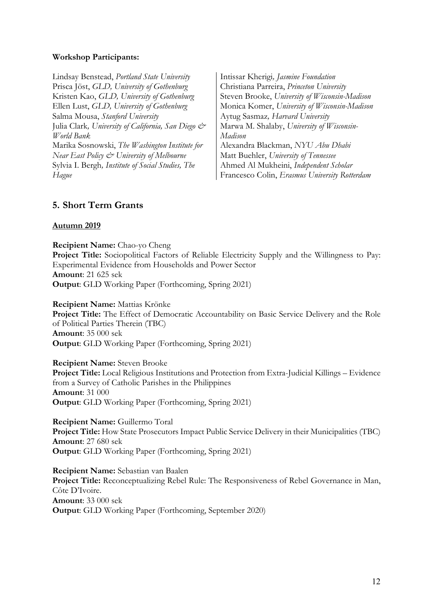#### **Workshop Participants:**

Lindsay Benstead, *Portland State University* Prisca Jöst, *GLD, University of Gothenburg* Kristen Kao, *GLD, University of Gothenburg* Ellen Lust, *GLD, University of Gothenburg* Salma Mousa, *Stanford University* Julia Clark*, University of California, San Diego & World Bank* Marika Sosnowski, *The Washington Institute for Near East Policy & University of Melbourne* Sylvia I. Bergh*, Institute of Social Studies, The Hague*

Intissar Kherigi*, Jasmine Foundation* Christiana Parreira, *Princeton University* Steven Brooke, *University of Wisconsin-Madison* Monica Komer, *University of Wisconsin-Madison* Aytug Sasmaz*, Harvard University* Marwa M. Shalaby, *University of Wisconsin-Madison* Alexandra Blackman, *NYU Abu Dhabi* Matt Buehler, *University of Tennessee* Ahmed Al Mukheini, *Independent Scholar* Francesco Colin, *Erasmus University Rotterdam*

#### **5. Short Term Grants**

#### **Autumn 2019**

**Recipient Name:** Chao-yo Cheng

**Project Title:** Sociopolitical Factors of Reliable Electricity Supply and the Willingness to Pay: Experimental Evidence from Households and Power Sector **Amount**: 21 625 sek **Output**: GLD Working Paper (Forthcoming, Spring 2021)

#### **Recipient Name:** Mattias Krönke

**Project Title:** The Effect of Democratic Accountability on Basic Service Delivery and the Role of Political Parties Therein (TBC) **Amount**: 35 000 sek **Output**: GLD Working Paper (Forthcoming, Spring 2021)

#### **Recipient Name:** Steven Brooke

**Project Title:** Local Religious Institutions and Protection from Extra-Judicial Killings – Evidence from a Survey of Catholic Parishes in the Philippines **Amount**: 31 000 **Output**: GLD Working Paper (Forthcoming, Spring 2021)

**Recipient Name:** Guillermo Toral **Project Title:** How State Prosecutors Impact Public Service Delivery in their Municipalities (TBC) **Amount**: 27 680 sek **Output**: GLD Working Paper (Forthcoming, Spring 2021)

**Recipient Name:** Sebastian van Baalen **Project Title:** Reconceptualizing Rebel Rule: The Responsiveness of Rebel Governance in Man, Côte D'Ivoire. **Amount**: 33 000 sek **Output**: GLD Working Paper (Forthcoming, September 2020)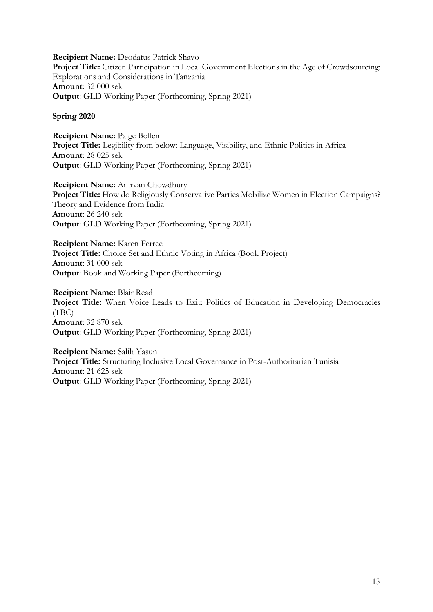**Recipient Name:** Deodatus Patrick Shavo **Project Title:** Citizen Participation in Local Government Elections in the Age of Crowdsourcing: Explorations and Considerations in Tanzania **Amount**: 32 000 sek **Output**: GLD Working Paper (Forthcoming, Spring 2021)

#### **Spring 2020**

**Recipient Name:** Paige Bollen **Project Title:** Legibility from below: Language, Visibility, and Ethnic Politics in Africa **Amount**: 28 025 sek **Output**: GLD Working Paper (Forthcoming, Spring 2021)

**Recipient Name:** Anirvan Chowdhury **Project Title:** How do Religiously Conservative Parties Mobilize Women in Election Campaigns? Theory and Evidence from India **Amount**: 26 240 sek **Output**: GLD Working Paper (Forthcoming, Spring 2021)

**Recipient Name:** Karen Ferree **Project Title:** Choice Set and Ethnic Voting in Africa (Book Project) **Amount**: 31 000 sek **Output**: Book and Working Paper (Forthcoming)

**Recipient Name:** Blair Read **Project Title:** When Voice Leads to Exit: Politics of Education in Developing Democracies (TBC) **Amount**: 32 870 sek **Output**: GLD Working Paper (Forthcoming, Spring 2021)

**Recipient Name:** Salih Yasun **Project Title:** Structuring Inclusive Local Governance in Post-Authoritarian Tunisia **Amount**: 21 625 sek **Output**: GLD Working Paper (Forthcoming, Spring 2021)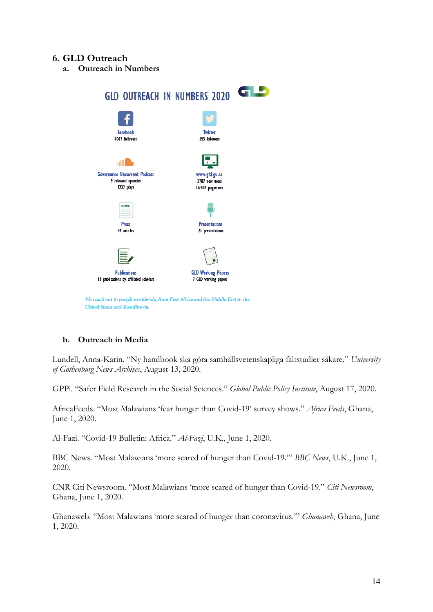#### **6. GLD Outreach**

**a. Outreach in Numbers**



#### **b. Outreach in Media**

Lundell, Anna-Karin. "Ny handbook ska göra samhällsvetenskapliga fältstudier säkare." *University of Gothenburg News Archives*, August 13, 2020.

GPPi. "Safer Field Research in the Social Sciences." *Global Public Policy Institute*, August 17, 2020.

AfricaFeeds. "Most Malawians 'fear hunger than Covid-19' survey shows." *Africa Feeds*, Ghana, June 1, 2020.

Al-Fazi. "Covid-19 Bulletin: Africa." *Al-Fazi*, U.K., June 1, 2020.

BBC News. "Most Malawians 'more scared of hunger than Covid-19.'" *BBC News*, U.K., June 1, 2020.

CNR Citi Newsroom. "Most Malawians 'more scared of hunger than Covid-19." *Citi Newsroom*, Ghana, June 1, 2020.

Ghanaweb. "Most Malawians 'more scared of hunger than coronavirus.'" *Ghanaweb*, Ghana, June 1, 2020.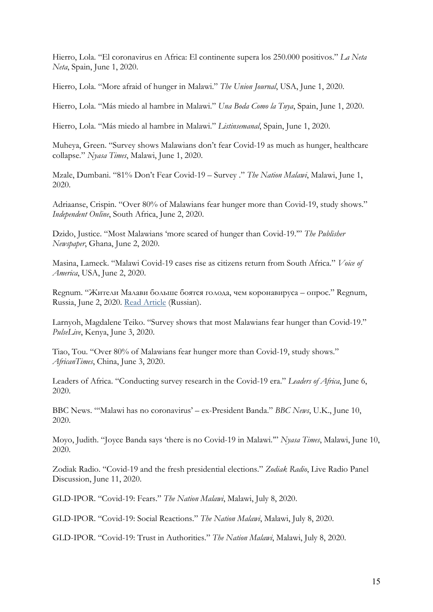Hierro, Lola. "El coronavirus en Africa: El continente supera los 250.000 positivos." *La Neta Neta*, Spain, June 1, 2020.

Hierro, Lola. "More afraid of hunger in Malawi." *The Union Journal*, USA, June 1, 2020.

Hierro, Lola. "Más miedo al hambre in Malawi." *Una Boda Como la Tuya*, Spain, June 1, 2020.

Hierro, Lola. "Más miedo al hambre in Malawi." *Listinsemanal*, Spain, June 1, 2020.

Muheya, Green. "Survey shows Malawians don't fear Covid-19 as much as hunger, healthcare collapse." *Nyasa Times*, Malawi, June 1, 2020.

Mzale, Dumbani. "81% Don't Fear Covid-19 – Survey ." *The Nation Malawi*, Malawi, June 1, 2020.

Adriaanse, Crispin. "Over 80% of Malawians fear hunger more than Covid-19, study shows." *Independent Online*, South Africa, June 2, 2020.

Dzido, Justice. "Most Malawians 'more scared of hunger than Covid-19.'" *The Publisher Newspaper*, Ghana, June 2, 2020.

Masina, Lameck. "Malawi Covid-19 cases rise as citizens return from South Africa." *Voice of America*, USA, June 2, 2020.

Regnum. "Жители Малави больше боятся голода, чем коронавируса – опрос." Regnum, Russia, June 2, 2020. Read Article (Russian).

Larnyoh, Magdalene Teiko. "Survey shows that most Malawians fear hunger than Covid-19." *PulseLive*, Kenya, June 3, 2020.

Tiao, Tou. "Over 80% of Malawians fear hunger more than Covid-19, study shows." *AfricanTimes*, China, June 3, 2020.

Leaders of Africa. "Conducting survey research in the Covid-19 era." *Leaders of Africa*, June 6, 2020.

BBC News. "'Malawi has no coronavirus' – ex-President Banda." *BBC News*, U.K., June 10, 2020.

Moyo, Judith. "Joyce Banda says 'there is no Covid-19 in Malawi.'" *Nyasa Times*, Malawi, June 10, 2020.

Zodiak Radio. "Covid-19 and the fresh presidential elections." *Zodiak Radio*, Live Radio Panel Discussion, June 11, 2020.

GLD-IPOR. "Covid-19: Fears." *The Nation Malawi*, Malawi, July 8, 2020.

GLD-IPOR. "Covid-19: Social Reactions." *The Nation Malawi*, Malawi, July 8, 2020.

GLD-IPOR. "Covid-19: Trust in Authorities." *The Nation Malawi*, Malawi, July 8, 2020.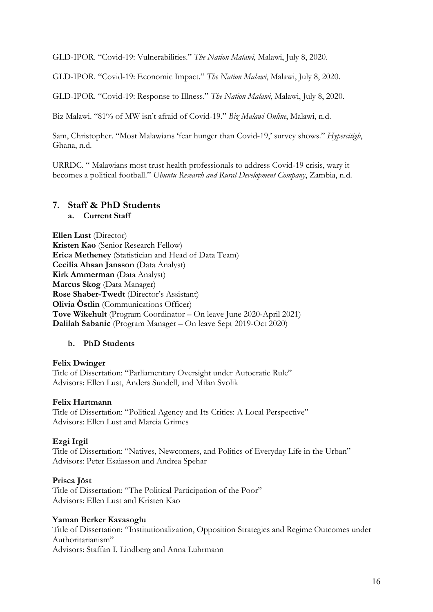GLD-IPOR. "Covid-19: Vulnerabilities." *The Nation Malawi*, Malawi, July 8, 2020.

GLD-IPOR. "Covid-19: Economic Impact." *The Nation Malawi*, Malawi, July 8, 2020.

GLD-IPOR. "Covid-19: Response to Illness." *The Nation Malawi*, Malawi, July 8, 2020.

Biz Malawi. "81% of MW isn't afraid of Covid-19." *Biz Malawi Online*, Malawi, n.d.

Sam, Christopher. "Most Malawians 'fear hunger than Covid-19,' survey shows." *Hypercitigh*, Ghana, n.d.

URRDC. " Malawians most trust health professionals to address Covid-19 crisis, wary it becomes a political football." *Ubuntu Research and Rural Development Company*, Zambia, n.d.

#### **7. Staff & PhD Students**

**a. Current Staff**

**Ellen Lust** (Director) **Kristen Kao** (Senior Research Fellow) **Erica Metheney** (Statistician and Head of Data Team) **Cecilia Ahsan Jansson** (Data Analyst) **Kirk Ammerman** (Data Analyst) **Marcus Skog** (Data Manager) **Rose Shaber-Twedt** (Director's Assistant) **Olivia Östlin** (Communications Officer) **Tove Wikehult** (Program Coordinator – On leave June 2020-April 2021) **Dalilah Sabanic** (Program Manager – On leave Sept 2019-Oct 2020)

#### **b. PhD Students**

#### **Felix Dwinger**

Title of Dissertation: "Parliamentary Oversight under Autocratic Rule" Advisors: Ellen Lust, Anders Sundell, and Milan Svolik

#### **Felix Hartmann**

Title of Dissertation: "Political Agency and Its Critics: A Local Perspective" Advisors: Ellen Lust and Marcia Grimes

#### **Ezgi Irgil**

Title of Dissertation: "Natives, Newcomers, and Politics of Everyday Life in the Urban" Advisors: Peter Esaiasson and Andrea Spehar

#### **Prisca Jöst**

Title of Dissertation: "The Political Participation of the Poor" Advisors: Ellen Lust and Kristen Kao

#### **Yaman Berker Kavasoglu**

Title of Dissertation: "Institutionalization, Opposition Strategies and Regime Outcomes under Authoritarianism" Advisors: Staffan I. Lindberg and Anna Luhrmann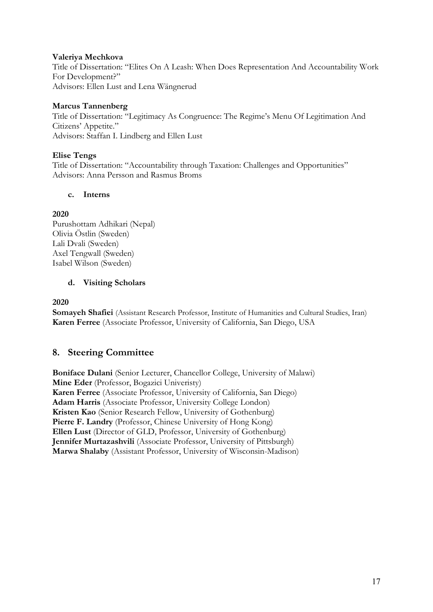#### **Valeriya Mechkova**

Title of Dissertation: "Elites On A Leash: When Does Representation And Accountability Work For Development?" Advisors: Ellen Lust and Lena Wängnerud

#### **Marcus Tannenberg**

Title of Dissertation: "Legitimacy As Congruence: The Regime's Menu Of Legitimation And Citizens' Appetite." Advisors: Staffan I. Lindberg and Ellen Lust

#### **Elise Tengs**

Title of Dissertation: "Accountability through Taxation: Challenges and Opportunities" Advisors: Anna Persson and Rasmus Broms

#### **c. Interns**

#### **2020**

Purushottam Adhikari (Nepal) Olivia Östlin (Sweden) Lali Dvali (Sweden) Axel Tengwall (Sweden) Isabel Wilson (Sweden)

#### **d. Visiting Scholars**

**2020**

**Somayeh Shafiei** (Assistant Research Professor, Institute of Humanities and Cultural Studies, Iran) **Karen Ferree** (Associate Professor, University of California, San Diego, USA

#### **8. Steering Committee**

**Boniface Dulani** (Senior Lecturer, Chancellor College, University of Malawi) **Mine Eder** (Professor, Bogazici Univeristy) **Karen Ferree** (Associate Professor, University of California, San Diego) **Adam Harris** (Associate Professor, University College London) **Kristen Kao** (Senior Research Fellow, University of Gothenburg) Pierre F. Landry (Professor, Chinese University of Hong Kong) **Ellen Lust** (Director of GLD, Professor, University of Gothenburg) **Jennifer Murtazashvili** (Associate Professor, University of Pittsburgh) **Marwa Shalaby** (Assistant Professor, University of Wisconsin-Madison)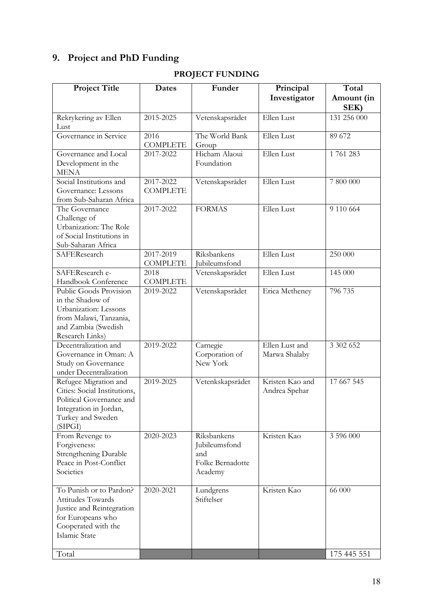# **9. Project and PhD Funding**

| <b>Project Title</b>          | Dates           | Funder                  | Principal       | Total       |
|-------------------------------|-----------------|-------------------------|-----------------|-------------|
|                               |                 |                         |                 |             |
|                               |                 |                         | Investigator    | Amount (in  |
|                               |                 |                         |                 | SEK)        |
| Rekrykering av Ellen          | 2015-2025       | Vetenskapsrådet         | Ellen Lust      | 131 256 000 |
| Lust<br>Governance in Service | 2016            | The World Bank          | Ellen Lust      | 89 672      |
|                               | <b>COMPLETE</b> | Group                   |                 |             |
| Governance and Local          | 2017-2022       | Hicham Alaoui           | Ellen Lust      | 1761283     |
| Development in the            |                 | Foundation              |                 |             |
| MENA                          |                 |                         |                 |             |
| Social Institutions and       | 2017-2022       | Vetenskapsrådet         | Ellen Lust      | 7 800 000   |
| Governance: Lessons           | <b>COMPLETE</b> |                         |                 |             |
| from Sub-Saharan Africa       |                 |                         |                 |             |
| The Governance                | 2017-2022       | <b>FORMAS</b>           | Ellen Lust      | 9 110 664   |
| Challenge of                  |                 |                         |                 |             |
| Urbanization: The Role        |                 |                         |                 |             |
| of Social Institutions in     |                 |                         |                 |             |
| Sub-Saharan Africa            |                 |                         |                 |             |
| SAFEResearch                  | 2017-2019       | Riksbankens             | Ellen Lust      | 250000      |
|                               | <b>COMPLETE</b> | Jubileumsfond           |                 |             |
| SAFEResearch e-               | 2018            | Vetenskapsrådet         | Ellen Lust      | 145 000     |
| Handbook Conference           | <b>COMPLETE</b> |                         |                 |             |
| Public Goods Provision        | 2019-2022       | Vetenskapsrådet         | Erica Metheney  | 796 735     |
| in the Shadow of              |                 |                         |                 |             |
| Urbanization: Lessons         |                 |                         |                 |             |
| from Malawi, Tanzania,        |                 |                         |                 |             |
| and Zambia (Swedish           |                 |                         |                 |             |
| Research Links)               |                 |                         |                 |             |
| Decentralization and          | 2019-2022       | Carnegie                | Ellen Lust and  | 3 302 652   |
| Governance in Oman: A         |                 | Corporation of          | Marwa Shalaby   |             |
| Study on Governance           |                 | New York                |                 |             |
| under Decentralization        |                 |                         |                 |             |
| Refugee Migration and         | 2019-2025       | Vetenkskapsrådet        | Kristen Kao and | 17 667 545  |
| Cities: Social Institutions,  |                 |                         | Andrea Spehar   |             |
| Political Governance and      |                 |                         |                 |             |
| Integration in Jordan,        |                 |                         |                 |             |
| Turkey and Sweden             |                 |                         |                 |             |
| (SIPGI)                       |                 |                         |                 |             |
| From Revenge to               | 2020-2023       | Riksbankens             | Kristen Kao     | 3 596 000   |
| Forgiveness:                  |                 | Jubileumsfond           |                 |             |
| Strengthening Durable         |                 | and                     |                 |             |
| Peace in Post-Conflict        |                 | Folke Bernadotte        |                 |             |
| Societies                     |                 | Academy                 |                 |             |
| To Punish or to Pardon?       | 2020-2021       |                         | Kristen Kao     | 66 000      |
| Attitudes Towards             |                 | Lundgrens<br>Stiftelser |                 |             |
| Justice and Reintegration     |                 |                         |                 |             |
| for Europeans who             |                 |                         |                 |             |
| Cooperated with the           |                 |                         |                 |             |
| Islamic State                 |                 |                         |                 |             |
|                               |                 |                         |                 |             |
| Total                         |                 |                         |                 | 175 445 551 |

# **PROJECT FUNDING**